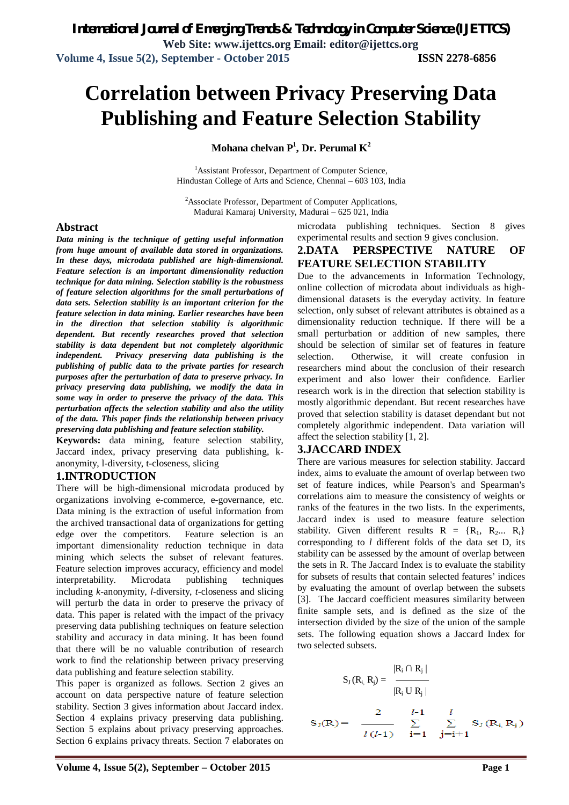# **Correlation between Privacy Preserving Data Publishing and Feature Selection Stability**

**Mohana chelvan P<sup>1</sup> , Dr. Perumal K<sup>2</sup>**

<sup>1</sup>Assistant Professor, Department of Computer Science, Hindustan College of Arts and Science, Chennai – 603 103, India

<sup>2</sup>Associate Professor, Department of Computer Applications, Madurai Kamaraj University, Madurai – 625 021, India

#### **Abstract**

*Data mining is the technique of getting useful information from huge amount of available data stored in organizations. In these days, microdata published are high-dimensional. Feature selection is an important dimensionality reduction technique for data mining. Selection stability is the robustness of feature selection algorithms for the small perturbations of data sets. Selection stability is an important criterion for the feature selection in data mining. Earlier researches have been in the direction that selection stability is algorithmic dependent. But recently researches proved that selection stability is data dependent but not completely algorithmic independent. Privacy preserving data publishing is the publishing of public data to the private parties for research purposes after the perturbation of data to preserve privacy. In privacy preserving data publishing, we modify the data in some way in order to preserve the privacy of the data. This perturbation affects the selection stability and also the utility of the data. This paper finds the relationship between privacy preserving data publishing and feature selection stability.*

**Keywords:** data mining, feature selection stability, Jaccard index, privacy preserving data publishing, kanonymity, l-diversity, t-closeness, slicing

#### **1.INTRODUCTION**

There will be high-dimensional microdata produced by organizations involving e-commerce, e-governance, etc. Data mining is the extraction of useful information from the archived transactional data of organizations for getting edge over the competitors. Feature selection is an important dimensionality reduction technique in data mining which selects the subset of relevant features. Feature selection improves accuracy, efficiency and model interpretability. Microdata publishing techniques including *k*-anonymity, *l*-diversity, *t*-closeness and slicing will perturb the data in order to preserve the privacy of data. This paper is related with the impact of the privacy preserving data publishing techniques on feature selection stability and accuracy in data mining. It has been found that there will be no valuable contribution of research work to find the relationship between privacy preserving data publishing and feature selection stability.

This paper is organized as follows. Section 2 gives an account on data perspective nature of feature selection stability. Section 3 gives information about Jaccard index. Section 4 explains privacy preserving data publishing. Section 5 explains about privacy preserving approaches. Section 6 explains privacy threats. Section 7 elaborates on microdata publishing techniques. Section 8 gives experimental results and section 9 gives conclusion.

# **2.DATA PERSPECTIVE NATURE OF FEATURE SELECTION STABILITY**

Due to the advancements in Information Technology, online collection of microdata about individuals as highdimensional datasets is the everyday activity. In feature selection, only subset of relevant attributes is obtained as a dimensionality reduction technique. If there will be a small perturbation or addition of new samples, there should be selection of similar set of features in feature selection. Otherwise, it will create confusion in researchers mind about the conclusion of their research experiment and also lower their confidence. Earlier research work is in the direction that selection stability is mostly algorithmic dependant. But recent researches have proved that selection stability is dataset dependant but not completely algorithmic independent. Data variation will affect the selection stability [1, 2].

#### **3.JACCARD INDEX**

There are various measures for selection stability. Jaccard index, aims to evaluate the amount of overlap between two set of feature indices, while Pearson's and Spearman's correlations aim to measure the consistency of weights or ranks of the features in the two lists. In the experiments, Jaccard index is used to measure feature selection stability. Given different results  $R = \{R_1, R_2, R_1\}$ corresponding to *l* different folds of the data set D, its stability can be assessed by the amount of overlap between the sets in R. The Jaccard Index is to evaluate the stability for subsets of results that contain selected features' indices by evaluating the amount of overlap between the subsets [3]. The Jaccard coefficient measures similarity between finite sample sets, and is defined as the size of the intersection divided by the size of the union of the sample sets. The following equation shows a Jaccard Index for two selected subsets.

$$
S_{J}(R_{i}, R_{j}) = \frac{|R_{i} \cap R_{j}|}{|R_{i} \cup R_{j}|}
$$
  

$$
S_{J}(R) = \frac{2}{l(l-1)} \sum_{i=1}^{l-1} \sum_{j=i+1}^{l} S_{J}(R_{i}, R_{j})
$$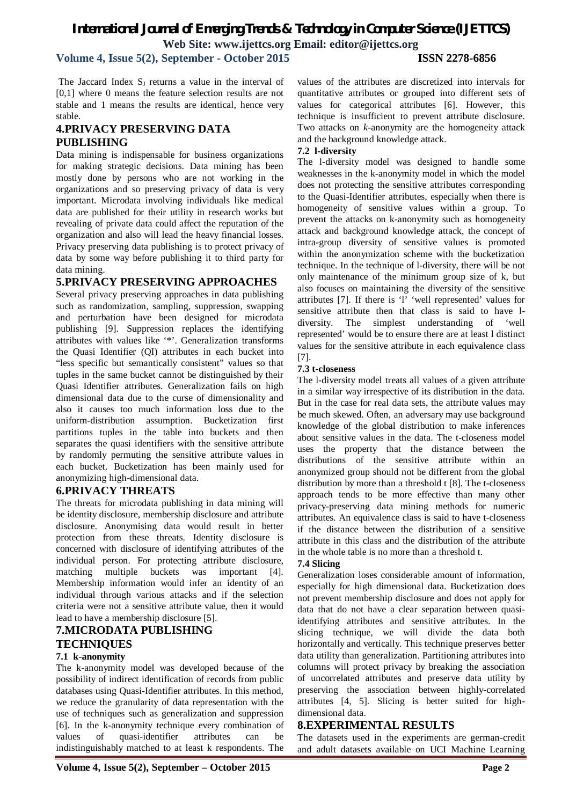# *International Journal of Emerging Trends & Technology in Computer Science (IJETTCS)* **Web Site: www.ijettcs.org Email: editor@ijettcs.org**

**Volume 4, Issue 5(2), September - October 2015 ISSN 2278-6856**

The Jaccard Index  $S_1$  returns a value in the interval of [0,1] where 0 means the feature selection results are not stable and 1 means the results are identical, hence very stable.

## **4.PRIVACY PRESERVING DATA PUBLISHING**

Data mining is indispensable for business organizations for making strategic decisions. Data mining has been mostly done by persons who are not working in the organizations and so preserving privacy of data is very important. Microdata involving individuals like medical data are published for their utility in research works but revealing of private data could affect the reputation of the organization and also will lead the heavy financial losses. Privacy preserving data publishing is to protect privacy of data by some way before publishing it to third party for data mining.

## **5.PRIVACY PRESERVING APPROACHES**

Several privacy preserving approaches in data publishing such as randomization, sampling, suppression, swapping and perturbation have been designed for microdata publishing [9]. Suppression replaces the identifying attributes with values like '\*'. Generalization transforms the Quasi Identifier (QI) attributes in each bucket into "less specific but semantically consistent" values so that tuples in the same bucket cannot be distinguished by their Quasi Identifier attributes. Generalization fails on high dimensional data due to the curse of dimensionality and also it causes too much information loss due to the uniform-distribution assumption. Bucketization first partitions tuples in the table into buckets and then separates the quasi identifiers with the sensitive attribute by randomly permuting the sensitive attribute values in each bucket. Bucketization has been mainly used for anonymizing high-dimensional data.

## **6.PRIVACY THREATS**

The threats for microdata publishing in data mining will be identity disclosure, membership disclosure and attribute disclosure. Anonymising data would result in better protection from these threats. Identity disclosure is concerned with disclosure of identifying attributes of the individual person. For protecting attribute disclosure, matching multiple buckets was important [4]. Membership information would infer an identity of an individual through various attacks and if the selection criteria were not a sensitive attribute value, then it would lead to have a membership disclosure [5].

# **7.MICRODATA PUBLISHING TECHNIQUES**

#### **7.1 k-anonymity**

The k-anonymity model was developed because of the possibility of indirect identification of records from public databases using Quasi-Identifier attributes. In this method, we reduce the granularity of data representation with the use of techniques such as generalization and suppression [6]. In the k-anonymity technique every combination of values of quasi-identifier attributes can be indistinguishably matched to at least k respondents. The

values of the attributes are discretized into intervals for quantitative attributes or grouped into different sets of values for categorical attributes [6]. However, this technique is insufficient to prevent attribute disclosure. Two attacks on *k*-anonymity are the homogeneity attack and the background knowledge attack.

## **7.2 l-diversity**

The l-diversity model was designed to handle some weaknesses in the k-anonymity model in which the model does not protecting the sensitive attributes corresponding to the Quasi-Identifier attributes, especially when there is homogeneity of sensitive values within a group. To prevent the attacks on k-anonymity such as homogeneity attack and background knowledge attack, the concept of intra-group diversity of sensitive values is promoted within the anonymization scheme with the bucketization technique. In the technique of l-diversity, there will be not only maintenance of the minimum group size of k, but also focuses on maintaining the diversity of the sensitive attributes [7]. If there is 'l' 'well represented' values for sensitive attribute then that class is said to have ldiversity. The simplest understanding of 'well represented' would be to ensure there are at least l distinct values for the sensitive attribute in each equivalence class [7].

## **7.3 t-closeness**

The l-diversity model treats all values of a given attribute in a similar way irrespective of its distribution in the data. But in the case for real data sets, the attribute values may be much skewed. Often, an adversary may use background knowledge of the global distribution to make inferences about sensitive values in the data. The t-closeness model uses the property that the distance between the distributions of the sensitive attribute within an anonymized group should not be different from the global distribution by more than a threshold t [8]. The t-closeness approach tends to be more effective than many other privacy-preserving data mining methods for numeric attributes. An equivalence class is said to have t-closeness if the distance between the distribution of a sensitive attribute in this class and the distribution of the attribute in the whole table is no more than a threshold t.

#### **7.4 Slicing**

Generalization loses considerable amount of information, especially for high dimensional data. Bucketization does not prevent membership disclosure and does not apply for data that do not have a clear separation between quasiidentifying attributes and sensitive attributes. In the slicing technique, we will divide the data both horizontally and vertically. This technique preserves better data utility than generalization. Partitioning attributes into columns will protect privacy by breaking the association of uncorrelated attributes and preserve data utility by preserving the association between highly-correlated attributes [4, 5]. Slicing is better suited for highdimensional data.

## **8.EXPERIMENTAL RESULTS**

The datasets used in the experiments are german-credit and adult datasets available on UCI Machine Learning